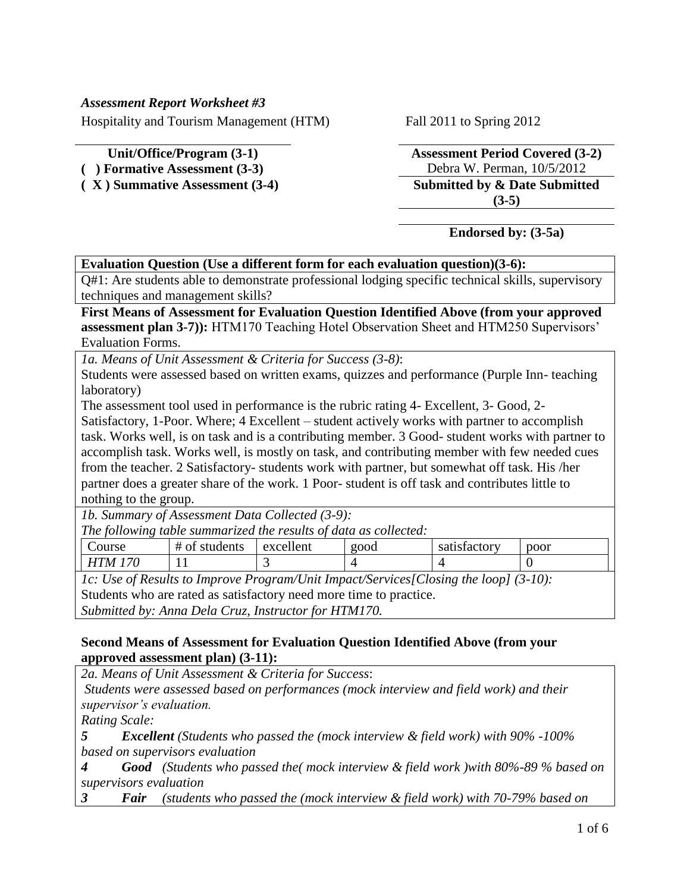### *Assessment Report Worksheet #3*

Hospitality and Tourism Management (HTM) Fall 2011 to Spring 2012

**( X ) Summative Assessment (3-4) Submitted by & Date Submitted** 

**Unit/Office/Program (3-1) Assessment Period Covered (3-2) ( ) Formative Assessment (3-3)** Debra W. Perman, 10/5/2012 **(3-5)**

## **Endorsed by: (3-5a)**

## **Evaluation Question (Use a different form for each evaluation question)(3-6):**

Q#1: Are students able to demonstrate professional lodging specific technical skills, supervisory techniques and management skills?

## **First Means of Assessment for Evaluation Question Identified Above (from your approved assessment plan 3-7)):** HTM170 Teaching Hotel Observation Sheet and HTM250 Supervisors' Evaluation Forms.

*1a. Means of Unit Assessment & Criteria for Success (3-8)*:

Students were assessed based on written exams, quizzes and performance (Purple Inn- teaching laboratory)

The assessment tool used in performance is the rubric rating 4- Excellent, 3- Good, 2-

Satisfactory, 1-Poor. Where; 4 Excellent – student actively works with partner to accomplish task. Works well, is on task and is a contributing member. 3 Good- student works with partner to accomplish task. Works well, is mostly on task, and contributing member with few needed cues from the teacher. 2 Satisfactory- students work with partner, but somewhat off task. His /her partner does a greater share of the work. 1 Poor- student is off task and contributes little to nothing to the group.

*1b. Summary of Assessment Data Collected (3-9):*

| The following table summarized the results of data as collected: |  |  |  |  |  |  |  |  |  |
|------------------------------------------------------------------|--|--|--|--|--|--|--|--|--|
|------------------------------------------------------------------|--|--|--|--|--|--|--|--|--|

| ourse                | students<br>ᄑ | excellent | good | $\sim$<br>satisfactory | poor |
|----------------------|---------------|-----------|------|------------------------|------|
| 70<br>$T_{M}$ .<br>H | . .           |           |      |                        |      |

*1c: Use of Results to Improve Program/Unit Impact/Services[Closing the loop] (3-10):* Students who are rated as satisfactory need more time to practice. *Submitted by: Anna Dela Cruz, Instructor for HTM170.*

## **Second Means of Assessment for Evaluation Question Identified Above (from your approved assessment plan) (3-11):**

*2a. Means of Unit Assessment & Criteria for Success*:

*Students were assessed based on performances (mock interview and field work) and their supervisor's evaluation.*

*Rating Scale:*

*5 Excellent (Students who passed the (mock interview & field work) with 90% -100% based on supervisors evaluation*

*4 Good (Students who passed the( mock interview & field work )with 80%-89 % based on supervisors evaluation*

*3 Fair (students who passed the (mock interview & field work) with 70-79% based on*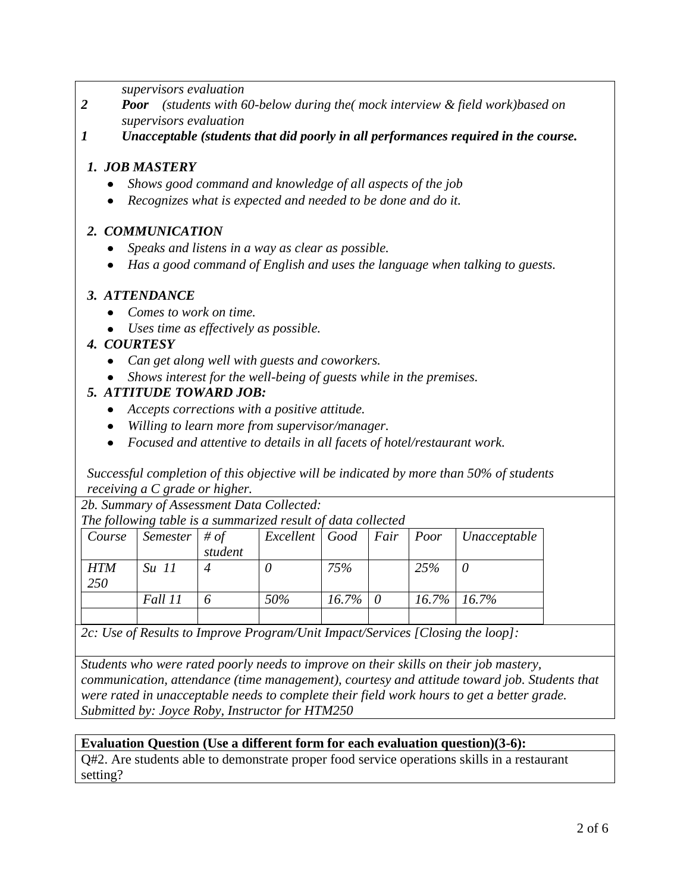*supervisors evaluation*

- *2 Poor (students with 60-below during the( mock interview & field work)based on supervisors evaluation*
- *1 Unacceptable (students that did poorly in all performances required in the course.*

## *1. JOB MASTERY*

- *Shows good command and knowledge of all aspects of the job*
- *Recognizes what is expected and needed to be done and do it.*

## *2. COMMUNICATION*

- *Speaks and listens in a way as clear as possible.*
- *Has a good command of English and uses the language when talking to guests.*

## *3. ATTENDANCE*

- *Comes to work on time.*
- *Uses time as effectively as possible.*

## *4. COURTESY*

- *Can get along well with guests and coworkers.*
- *Shows interest for the well-being of guests while in the premises.*

## *5. ATTITUDE TOWARD JOB:*

- *Accepts corrections with a positive attitude.*
- *Willing to learn more from supervisor/manager.*
- *Focused and attentive to details in all facets of hotel/restaurant work.*

*Successful completion of this objective will be indicated by more than 50% of students receiving a C grade or higher.*

*2b. Summary of Assessment Data Collected:*

*The following table is a summarized result of data collected*

| Course     | Semester $\#$ of |         | Excellent   Good   Fair   Poor |              |     | $\vert$ Unacceptable |
|------------|------------------|---------|--------------------------------|--------------|-----|----------------------|
| <b>HTM</b> | $Su$ 11          | student |                                | 75%          | 25% |                      |
| <i>250</i> |                  |         |                                |              |     |                      |
|            | Fall 11          |         | 50%                            | $16.7\%$   0 |     | $16.7\%$ 16.7%       |
|            |                  |         |                                |              |     |                      |

*2c: Use of Results to Improve Program/Unit Impact/Services [Closing the loop]:*

*Students who were rated poorly needs to improve on their skills on their job mastery, communication, attendance (time management), courtesy and attitude toward job. Students that were rated in unacceptable needs to complete their field work hours to get a better grade. Submitted by: Joyce Roby, Instructor for HTM250*

#### **Evaluation Question (Use a different form for each evaluation question)(3-6):**

Q#2. Are students able to demonstrate proper food service operations skills in a restaurant setting?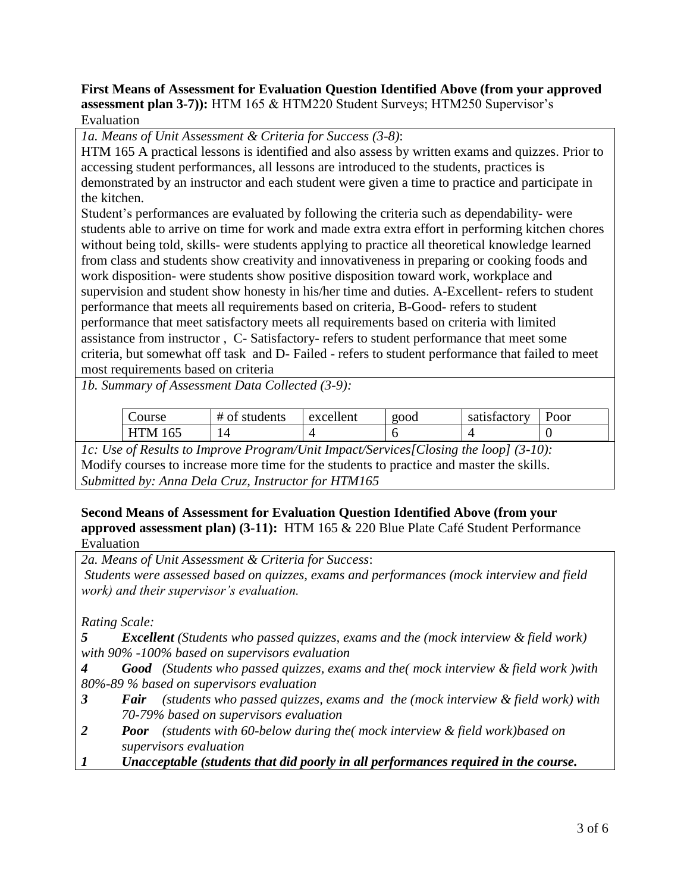## **First Means of Assessment for Evaluation Question Identified Above (from your approved assessment plan 3-7)):** HTM 165 & HTM220 Student Surveys; HTM250 Supervisor's Evaluation

*1a. Means of Unit Assessment & Criteria for Success (3-8)*:

HTM 165 A practical lessons is identified and also assess by written exams and quizzes. Prior to accessing student performances, all lessons are introduced to the students, practices is demonstrated by an instructor and each student were given a time to practice and participate in the kitchen.

Student's performances are evaluated by following the criteria such as dependability- were students able to arrive on time for work and made extra extra effort in performing kitchen chores without being told, skills- were students applying to practice all theoretical knowledge learned from class and students show creativity and innovativeness in preparing or cooking foods and work disposition- were students show positive disposition toward work, workplace and supervision and student show honesty in his/her time and duties. A-Excellent- refers to student performance that meets all requirements based on criteria, B-Good- refers to student performance that meet satisfactory meets all requirements based on criteria with limited assistance from instructor , C- Satisfactory- refers to student performance that meet some criteria, but somewhat off task and D- Failed - refers to student performance that failed to meet most requirements based on criteria

*1b. Summary of Assessment Data Collected (3-9):*

| Course            | # of students | excellent | <b>2000</b> | satisfactory | Poor |
|-------------------|---------------|-----------|-------------|--------------|------|
| <b>HTM</b><br>165 | ۰Δ.<br>┚┱     |           |             |              |      |

*1c: Use of Results to Improve Program/Unit Impact/Services[Closing the loop] (3-10):* Modify courses to increase more time for the students to practice and master the skills. *Submitted by: Anna Dela Cruz, Instructor for HTM165*

### **Second Means of Assessment for Evaluation Question Identified Above (from your approved assessment plan) (3-11):** HTM 165 & 220 Blue Plate Café Student Performance Evaluation

*2a. Means of Unit Assessment & Criteria for Success*: *Students were assessed based on quizzes, exams and performances (mock interview and field work) and their supervisor's evaluation.*

*Rating Scale:*

*5 Excellent (Students who passed quizzes, exams and the (mock interview & field work) with 90% -100% based on supervisors evaluation*

*4 Good (Students who passed quizzes, exams and the( mock interview & field work )with 80%-89 % based on supervisors evaluation*

- *3 Fair (students who passed quizzes, exams and the (mock interview & field work) with 70-79% based on supervisors evaluation*
- *2 Poor (students with 60-below during the( mock interview & field work)based on supervisors evaluation*
- *1 Unacceptable (students that did poorly in all performances required in the course.*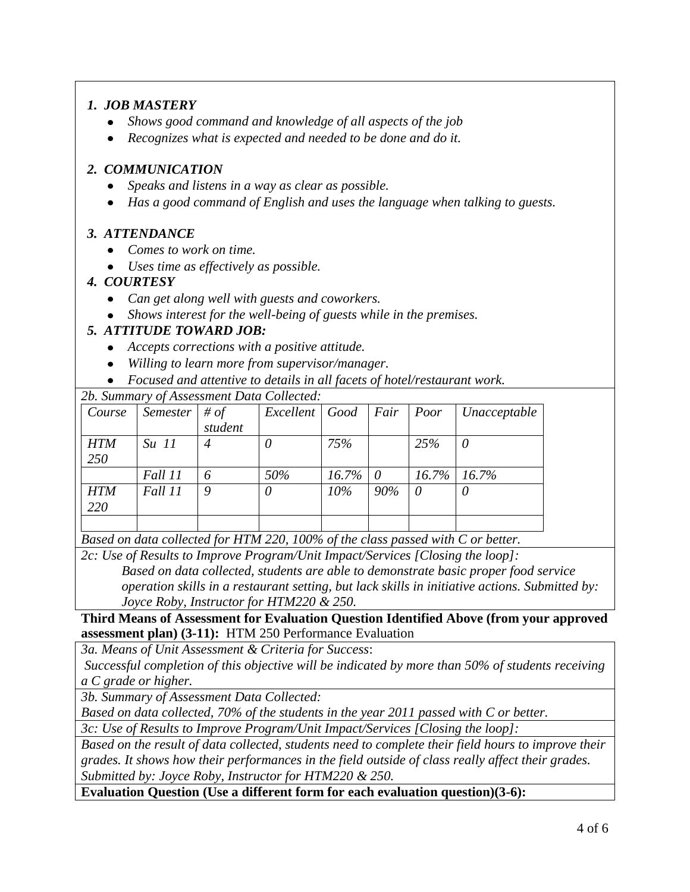# *1. JOB MASTERY*

- *Shows good command and knowledge of all aspects of the job*
- *Recognizes what is expected and needed to be done and do it.*   $\bullet$

# *2. COMMUNICATION*

- *Speaks and listens in a way as clear as possible.*   $\bullet$
- *Has a good command of English and uses the language when talking to guests.*

# *3. ATTENDANCE*

- *Comes to work on time.*
- *Uses time as effectively as possible.*

## *4. COURTESY*

- *Can get along well with guests and coworkers.*
- *Shows interest for the well-being of guests while in the premises.*

# *5. ATTITUDE TOWARD JOB:*

- *Accepts corrections with a positive attitude.*
- *Willing to learn more from supervisor/manager.*
- *Focused and attentive to details in all facets of hotel/restaurant work.*

*2b. Summary of Assessment Data Collected:*

| Course     | Semester | # of    | Excellent   Good |                 | Fair | Poor     | Unacceptable     |
|------------|----------|---------|------------------|-----------------|------|----------|------------------|
|            |          | student |                  |                 |      |          |                  |
| <b>HTM</b> | $Su$ 11  |         |                  | 75%             |      | 25%      | 0                |
| 250        |          |         |                  |                 |      |          |                  |
|            | Fall 11  | 6       | 50%              | $16.7\% \mid 0$ |      |          | $16.7\%$   16.7% |
| <b>HTM</b> | Fall 11  | Q       |                  | $10\%$          | 90%  | $\theta$ | $\theta$         |
| 220        |          |         |                  |                 |      |          |                  |
|            |          |         |                  |                 |      |          |                  |

*Based on data collected for HTM 220, 100% of the class passed with C or better.*

*2c: Use of Results to Improve Program/Unit Impact/Services [Closing the loop]: Based on data collected, students are able to demonstrate basic proper food service operation skills in a restaurant setting, but lack skills in initiative actions. Submitted by: Joyce Roby, Instructor for HTM220 & 250.*

**Third Means of Assessment for Evaluation Question Identified Above (from your approved assessment plan) (3-11):** HTM 250 Performance Evaluation

*3a. Means of Unit Assessment & Criteria for Success*:

*Successful completion of this objective will be indicated by more than 50% of students receiving a C grade or higher.*

*3b. Summary of Assessment Data Collected:*

*Based on data collected, 70% of the students in the year 2011 passed with C or better.*

*3c: Use of Results to Improve Program/Unit Impact/Services [Closing the loop]:*

*Based on the result of data collected, students need to complete their field hours to improve their grades. It shows how their performances in the field outside of class really affect their grades. Submitted by: Joyce Roby, Instructor for HTM220 & 250.*

**Evaluation Question (Use a different form for each evaluation question)(3-6):**